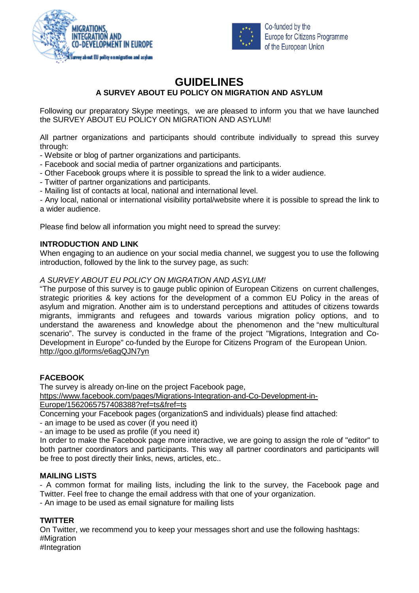



Co-funded by the **Europe for Citizens Programme** of the European Union

# **GUIDELINES**

**A SURVEY ABOUT EU POLICY ON MIGRATION AND ASYLUM**

Following our preparatory Skype meetings, we are pleased to inform you that we have launched the SURVEY ABOUT EU POLICY ON MIGRATION AND ASYLUM!

All partner organizations and participants should contribute individually to spread this survey through:

- Website or blog of partner organizations and participants.

- Facebook and social media of partner organizations and participants.
- Other Facebook groups where it is possible to spread the link to a wider audience.
- Twitter of partner organizations and participants.

- Mailing list of contacts at local, national and international level.

- Any local, national or international visibility portal/website where it is possible to spread the link to a wider audience.

Please find below all information you might need to spread the survey:

## **INTRODUCTION AND LINK**

When engaging to an audience on your social media channel, we suggest you to use the following introduction, followed by the link to the survey page, as such:

## *A SURVEY ABOUT EU POLICY ON MIGRATION AND ASYLUM!*

"The purpose of this survey is to gauge public opinion of European Citizens on current challenges, strategic priorities & key actions for the development of a common EU Policy in the areas of asylum and migration. Another aim is to understand perceptions and attitudes of citizens towards migrants, immigrants and refugees and towards various migration policy options, and to understand the awareness and knowledge about the phenomenon and the "new multicultural scenario". The survey is conducted in the frame of the project "Migrations, Integration and Co-Development in Europe" co-funded by the Europe for Citizens Program of the European Union. <http://goo.gl/forms/e6agQJN7yn>

#### **FACEBOOK**

The survey is already on-line on the project Facebook page,

[https://www.facebook.com/pages/Migrations-Integration-and-Co-Development-in-](https://www.facebook.com/pages/Migrations-Integration-and-Co-Development-in-Europe/1562065757408388?ref=ts&fref=ts)[Europe/1562065757408388?ref=ts&fref=ts](https://www.facebook.com/pages/Migrations-Integration-and-Co-Development-in-Europe/1562065757408388?ref=ts&fref=ts)

Concerning your Facebook pages (organizationS and individuals) please find attached:

- an image to be used as cover (if you need it)

- an image to be used as profile (if you need it)

In order to make the Facebook page more interactive, we are going to assign the role of "editor" to both partner coordinators and participants. This way all partner coordinators and participants will be free to post directly their links, news, articles, etc..

#### **MAILING LISTS**

- A common format for mailing lists, including the link to the survey, the Facebook page and Twitter. Feel free to change the email address with that one of your organization.

- An image to be used as email signature for mailing lists

# **TWITTER**

On Twitter, we recommend you to keep your messages short and use the following hashtags: #Migration

#Integration